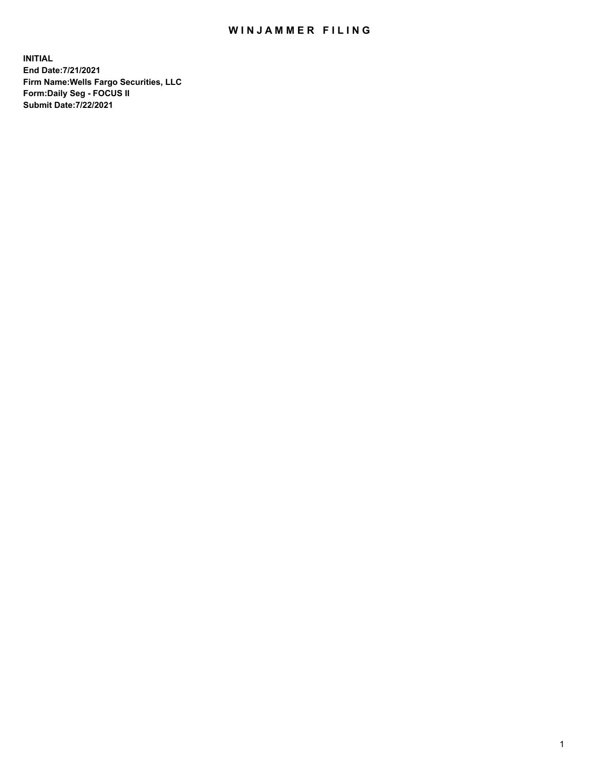## WIN JAMMER FILING

**INITIAL End Date:7/21/2021 Firm Name:Wells Fargo Securities, LLC Form:Daily Seg - FOCUS II Submit Date:7/22/2021**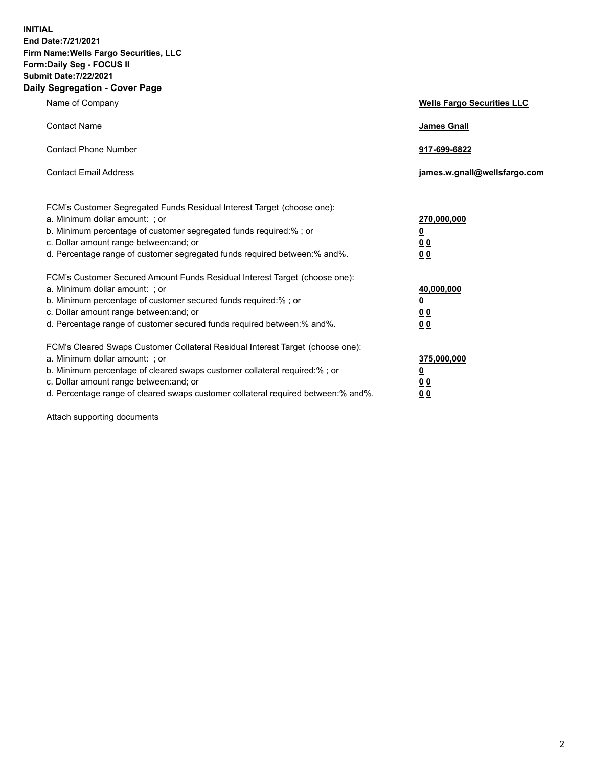**INITIAL End Date:7/21/2021 Firm Name:Wells Fargo Securities, LLC Form:Daily Seg - FOCUS II Submit Date:7/22/2021 Daily Segregation - Cover Page**

| Name of Company                                                                                                                                                                                                                                                                                                                | <b>Wells Fargo Securities LLC</b>                           |
|--------------------------------------------------------------------------------------------------------------------------------------------------------------------------------------------------------------------------------------------------------------------------------------------------------------------------------|-------------------------------------------------------------|
| <b>Contact Name</b>                                                                                                                                                                                                                                                                                                            | <b>James Gnall</b>                                          |
| <b>Contact Phone Number</b>                                                                                                                                                                                                                                                                                                    | 917-699-6822                                                |
| <b>Contact Email Address</b>                                                                                                                                                                                                                                                                                                   | james.w.gnall@wellsfargo.com                                |
| FCM's Customer Segregated Funds Residual Interest Target (choose one):<br>a. Minimum dollar amount: ; or<br>b. Minimum percentage of customer segregated funds required:% ; or<br>c. Dollar amount range between: and; or<br>d. Percentage range of customer segregated funds required between:% and%.                         | 270,000,000<br><u>0</u><br>0 <sub>0</sub><br>0 <sub>0</sub> |
| FCM's Customer Secured Amount Funds Residual Interest Target (choose one):<br>a. Minimum dollar amount: ; or<br>b. Minimum percentage of customer secured funds required:%; or<br>c. Dollar amount range between: and; or<br>d. Percentage range of customer secured funds required between:% and%.                            | 40,000,000<br><u>0</u><br>00<br>0 <sub>0</sub>              |
| FCM's Cleared Swaps Customer Collateral Residual Interest Target (choose one):<br>a. Minimum dollar amount: ; or<br>b. Minimum percentage of cleared swaps customer collateral required:% ; or<br>c. Dollar amount range between: and; or<br>d. Percentage range of cleared swaps customer collateral required between:% and%. | 375,000,000<br><u>0</u><br>0 <sub>0</sub><br>00             |

Attach supporting documents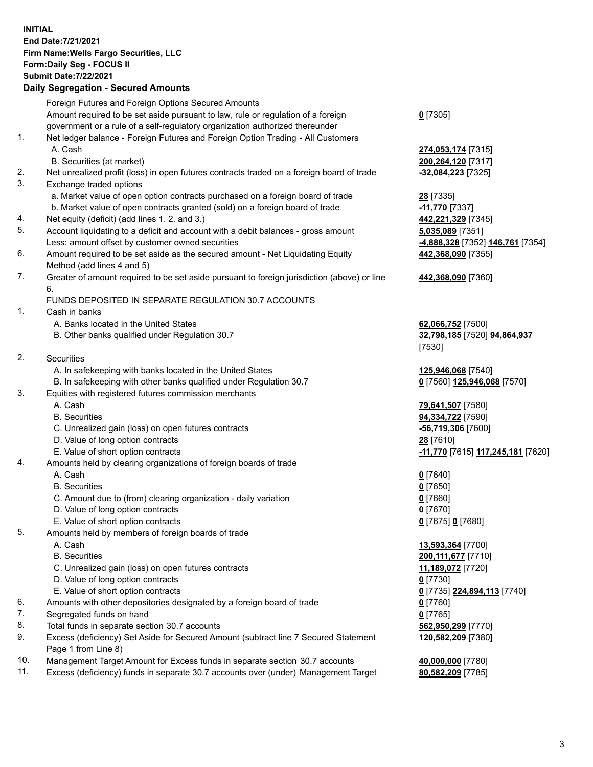**INITIAL End Date:7/21/2021 Firm Name:Wells Fargo Securities, LLC Form:Daily Seg - FOCUS II Submit Date:7/22/2021**

**Daily Segregation - Secured Amounts** Foreign Futures and Foreign Options Secured Amounts Amount required to be set aside pursuant to law, rule or regulation of a foreign government or a rule of a self-regulatory organization authorized thereunder 1. Net ledger balance - Foreign Futures and Foreign Option Trading - All Customers A. Cash **274,053,174** [7315] B. Securities (at market) **200,264,120** [7317] 2. Net unrealized profit (loss) in open futures contracts traded on a foreign board of trade **-32,084,223** [7325] 3. Exchange traded options a. Market value of open option contracts purchased on a foreign board of trade **28** [7335] b. Market value of open contracts granted (sold) on a foreign board of trade **-11,770** [7337] 4. Net equity (deficit) (add lines 1. 2. and 3.) **442,221,329** [7345] 5. Account liquidating to a deficit and account with a debit balances - gross amount **5,035,089** [7351] Less: amount offset by customer owned securities **-4,888,328** [7352] **146,761** [7354] 6. Amount required to be set aside as the secured amount - Net Liquidating Equity Method (add lines 4 and 5) 7. Greater of amount required to be set aside pursuant to foreign jurisdiction (above) or line 6. FUNDS DEPOSITED IN SEPARATE REGULATION 30.7 ACCOUNTS 1. Cash in banks A. Banks located in the United States **62,066,752** [7500] B. Other banks qualified under Regulation 30.7 **32,798,185** [7520] **94,864,937** 2. Securities A. In safekeeping with banks located in the United States **125,946,068** [7540] B. In safekeeping with other banks qualified under Regulation 30.7 **0** [7560] **125,946,068** [7570] 3. Equities with registered futures commission merchants A. Cash **79,641,507** [7580] B. Securities **94,334,722** [7590]

- C. Unrealized gain (loss) on open futures contracts **-56,719,306** [7600] D. Value of long option contracts **28** [7610]
	-
- 4. Amounts held by clearing organizations of foreign boards of trade
	- A. Cash **0** [7640]
	- B. Securities **0** [7650]
	- C. Amount due to (from) clearing organization daily variation **0** [7660]
	- D. Value of long option contracts **0** [7670]
	- E. Value of short option contracts **0** [7675] **0** [7680]
- 5. Amounts held by members of foreign boards of trade
	-
	-
	- C. Unrealized gain (loss) on open futures contracts **11,189,072** [7720]
	- D. Value of long option contracts **0** [7730]
	- E. Value of short option contracts **0** [7735] **224,894,113** [7740]
- 6. Amounts with other depositories designated by a foreign board of trade **0** [7760]
- 7. Segregated funds on hand **0** [7765]
- 8. Total funds in separate section 30.7 accounts **562,950,299** [7770]
- 9. Excess (deficiency) Set Aside for Secured Amount (subtract line 7 Secured Statement Page 1 from Line 8)
- 10. Management Target Amount for Excess funds in separate section 30.7 accounts **40,000,000** [7780]
- 11. Excess (deficiency) funds in separate 30.7 accounts over (under) Management Target **80,582,209** [7785]

**0** [7305]

**442,368,090** [7355]

**442,368,090** [7360]

[7530]

E. Value of short option contracts **-11,770** [7615] **117,245,181** [7620]

 A. Cash **13,593,364** [7700] B. Securities **200,111,677** [7710] **120,582,209** [7380]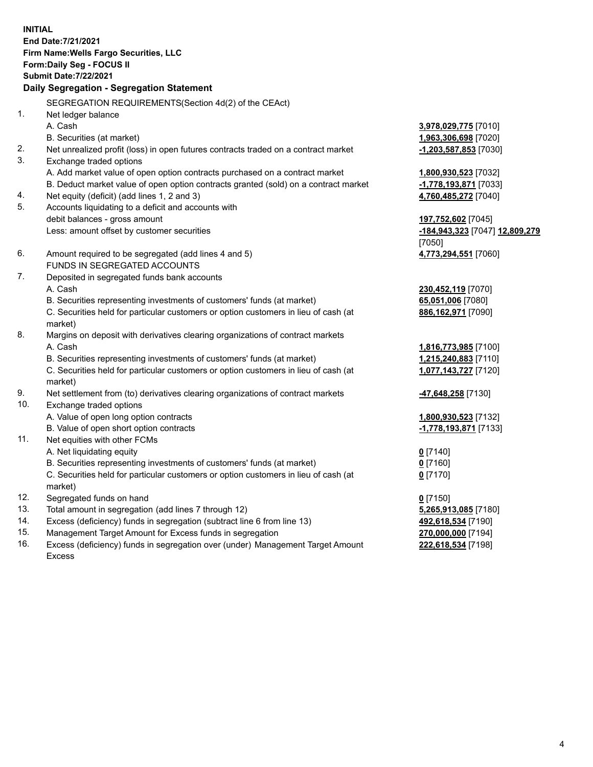**INITIAL End Date:7/21/2021 Firm Name:Wells Fargo Securities, LLC Form:Daily Seg - FOCUS II Submit Date:7/22/2021**

## **Daily Segregation - Segregation Statement**

SEGREGATION REQUIREMENTS(Section 4d(2) of the CEAct)

| 1.  | Net ledger balance                                                                  |                                |
|-----|-------------------------------------------------------------------------------------|--------------------------------|
|     | A. Cash                                                                             | 3,978,029,775 [7010]           |
|     | B. Securities (at market)                                                           | 1,963,306,698 [7020]           |
| 2.  | Net unrealized profit (loss) in open futures contracts traded on a contract market  | $-1,203,587,853$ [7030]        |
| 3.  | Exchange traded options                                                             |                                |
|     | A. Add market value of open option contracts purchased on a contract market         | 1,800,930,523 [7032]           |
|     | B. Deduct market value of open option contracts granted (sold) on a contract market | -1,778,193,871 [7033]          |
| 4.  | Net equity (deficit) (add lines 1, 2 and 3)                                         | 4,760,485,272 [7040]           |
| 5.  | Accounts liquidating to a deficit and accounts with                                 |                                |
|     | debit balances - gross amount                                                       | 197,752,602 [7045]             |
|     | Less: amount offset by customer securities                                          | -184,943,323 [7047] 12,809,279 |
|     |                                                                                     | [7050]                         |
| 6.  | Amount required to be segregated (add lines 4 and 5)                                | 4,773,294,551 [7060]           |
|     | FUNDS IN SEGREGATED ACCOUNTS                                                        |                                |
| 7.  | Deposited in segregated funds bank accounts                                         |                                |
|     | A. Cash                                                                             | 230,452,119 [7070]             |
|     | B. Securities representing investments of customers' funds (at market)              | 65,051,006 [7080]              |
|     | C. Securities held for particular customers or option customers in lieu of cash (at | 886,162,971 [7090]             |
|     | market)                                                                             |                                |
| 8.  | Margins on deposit with derivatives clearing organizations of contract markets      |                                |
|     | A. Cash                                                                             | 1,816,773,985 [7100]           |
|     | B. Securities representing investments of customers' funds (at market)              | 1,215,240,883 [7110]           |
|     | C. Securities held for particular customers or option customers in lieu of cash (at | 1,077,143,727 [7120]           |
|     | market)                                                                             |                                |
| 9.  | Net settlement from (to) derivatives clearing organizations of contract markets     | -47,648,258 [7130]             |
| 10. | Exchange traded options                                                             |                                |
|     | A. Value of open long option contracts                                              | 1,800,930,523 [7132]           |
|     | B. Value of open short option contracts                                             | -1,778,193,871 [7133]          |
| 11. | Net equities with other FCMs                                                        |                                |
|     | A. Net liquidating equity                                                           | $0$ [7140]                     |
|     | B. Securities representing investments of customers' funds (at market)              | $0$ [7160]                     |
|     | C. Securities held for particular customers or option customers in lieu of cash (at | $0$ [7170]                     |
|     | market)                                                                             |                                |
| 12. | Segregated funds on hand                                                            | $0$ [7150]                     |
| 13. | Total amount in segregation (add lines 7 through 12)                                | 5,265,913,085 [7180]           |
| 14. | Excess (deficiency) funds in segregation (subtract line 6 from line 13)             | 492,618,534 [7190]             |
| 15. | Management Target Amount for Excess funds in segregation                            | 270,000,000 [7194]             |
| 16. | Excess (deficiency) funds in segregation over (under) Management Target Amount      | 222,618,534 [7198]             |
|     | Excess                                                                              |                                |